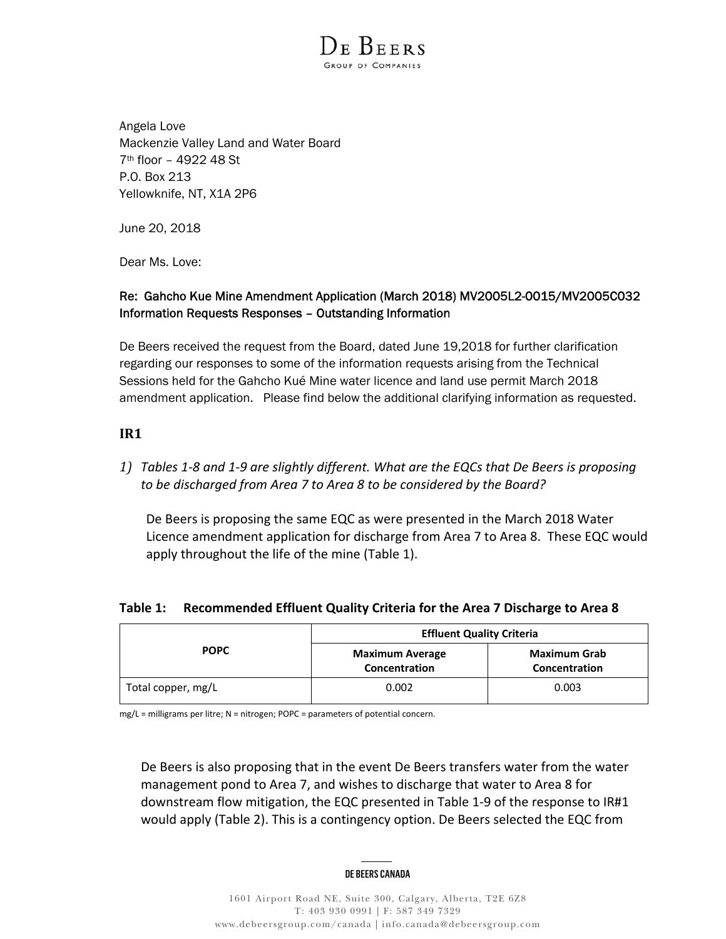

Angela Love Mackenzie Valley Land and Water Board 7th floor – 4922 48 St P.O. Box 213 Yellowknife, NT, X1A 2P6

June 20, 2018

Dear Ms. Love:

# Re: Gahcho Kue Mine Amendment Application (March 2018) MV2005L2-0015/MV2005C032 Information Requests Responses – Outstanding Information

De Beers received the request from the Board, dated June 19,2018 for further clarification regarding our responses to some of the information requests arising from the Technical Sessions held for the Gahcho Kué Mine water licence and land use permit March 2018 amendment application. Please find below the additional clarifying information as requested.

# **IR1**

*1) Tables 1‐8 and 1‐9 are slightly different. What are the EQCs that De Beers is proposing to be discharged from Area 7 to Area 8 to be considered by the Board?* 

De Beers is proposing the same EQC as were presented in the March 2018 Water Licence amendment application for discharge from Area 7 to Area 8. These EQC would apply throughout the life of the mine (Table 1).

# **Table 1: Recommended Effluent Quality Criteria for the Area 7 Discharge to Area 8**

| <b>POPC</b>        | <b>Effluent Quality Criteria</b>        |                                      |
|--------------------|-----------------------------------------|--------------------------------------|
|                    | <b>Maximum Average</b><br>Concentration | <b>Maximum Grab</b><br>Concentration |
| Total copper, mg/L | 0.002                                   | 0.003                                |

mg/L = milligrams per litre; N = nitrogen; POPC = parameters of potential concern.

De Beers is also proposing that in the event De Beers transfers water from the water management pond to Area 7, and wishes to discharge that water to Area 8 for downstream flow mitigation, the EQC presented in Table 1‐9 of the response to IR#1 would apply (Table 2). This is a contingency option. De Beers selected the EQC from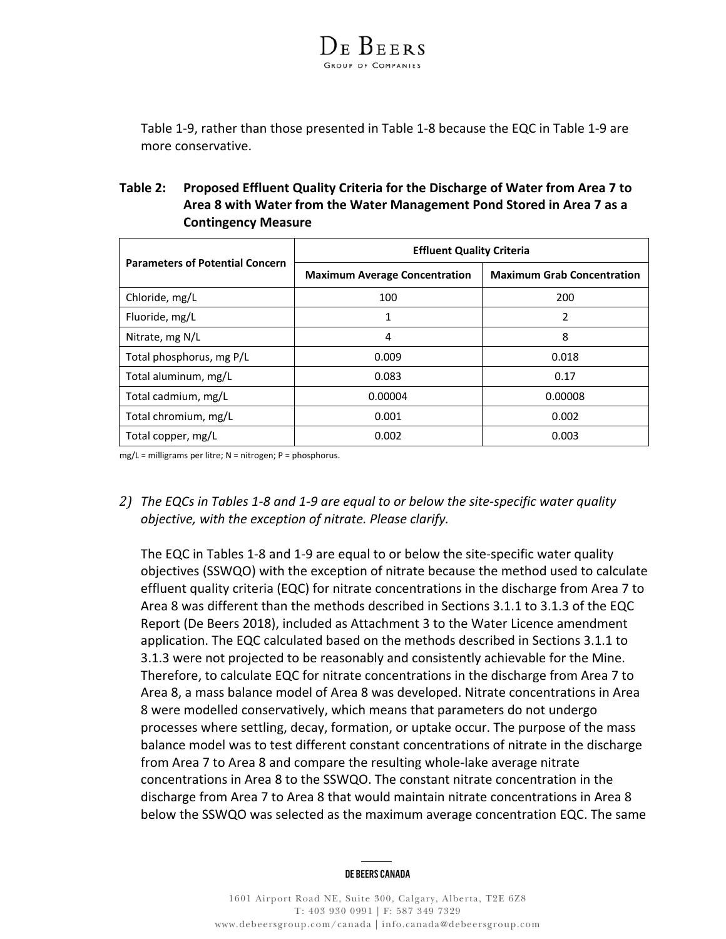

Table 1‐9, rather than those presented in Table 1‐8 because the EQC in Table 1‐9 are more conservative.

# **Table 2: Proposed Effluent Quality Criteria for the Discharge of Water from Area 7 to Area 8 with Water from the Water Management Pond Stored in Area 7 as a Contingency Measure**

| <b>Parameters of Potential Concern</b> | <b>Effluent Quality Criteria</b>     |                                   |
|----------------------------------------|--------------------------------------|-----------------------------------|
|                                        | <b>Maximum Average Concentration</b> | <b>Maximum Grab Concentration</b> |
| Chloride, mg/L                         | 100                                  | 200                               |
| Fluoride, mg/L                         | 1                                    | 2                                 |
| Nitrate, mg N/L                        | 4                                    | 8                                 |
| Total phosphorus, mg P/L               | 0.009                                | 0.018                             |
| Total aluminum, mg/L                   | 0.083                                | 0.17                              |
| Total cadmium, mg/L                    | 0.00004                              | 0.00008                           |
| Total chromium, mg/L                   | 0.001                                | 0.002                             |
| Total copper, mg/L                     | 0.002                                | 0.003                             |

mg/L = milligrams per litre; N = nitrogen; P = phosphorus.

*2) The EQCs in Tables 1‐8 and 1‐9 are equal to or below the site‐specific water quality objective, with the exception of nitrate. Please clarify.* 

The EQC in Tables 1‐8 and 1‐9 are equal to or below the site‐specific water quality objectives (SSWQO) with the exception of nitrate because the method used to calculate effluent quality criteria (EQC) for nitrate concentrations in the discharge from Area 7 to Area 8 was different than the methods described in Sections 3.1.1 to 3.1.3 of the EQC Report (De Beers 2018), included as Attachment 3 to the Water Licence amendment application. The EQC calculated based on the methods described in Sections 3.1.1 to 3.1.3 were not projected to be reasonably and consistently achievable for the Mine. Therefore, to calculate EQC for nitrate concentrations in the discharge from Area 7 to Area 8, a mass balance model of Area 8 was developed. Nitrate concentrations in Area 8 were modelled conservatively, which means that parameters do not undergo processes where settling, decay, formation, or uptake occur. The purpose of the mass balance model was to test different constant concentrations of nitrate in the discharge from Area 7 to Area 8 and compare the resulting whole‐lake average nitrate concentrations in Area 8 to the SSWQO. The constant nitrate concentration in the discharge from Area 7 to Area 8 that would maintain nitrate concentrations in Area 8 below the SSWQO was selected as the maximum average concentration EQC. The same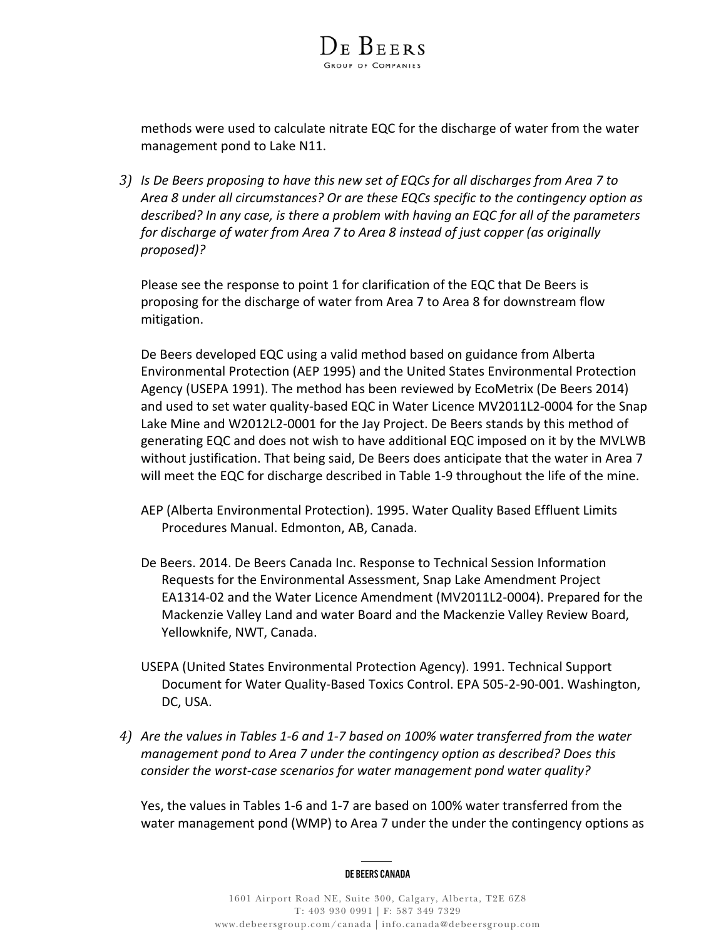methods were used to calculate nitrate EQC for the discharge of water from the water management pond to Lake N11.

DE BEERS

*3) Is De Beers proposing to have this new set of EQCs for all discharges from Area 7 to Area 8 under all circumstances? Or are these EQCs specific to the contingency option as described? In any case, is there a problem with having an EQC for all of the parameters for discharge of water from Area 7 to Area 8 instead of just copper (as originally proposed)?* 

Please see the response to point 1 for clarification of the EQC that De Beers is proposing for the discharge of water from Area 7 to Area 8 for downstream flow mitigation.

De Beers developed EQC using a valid method based on guidance from Alberta Environmental Protection (AEP 1995) and the United States Environmental Protection Agency (USEPA 1991). The method has been reviewed by EcoMetrix (De Beers 2014) and used to set water quality‐based EQC in Water Licence MV2011L2‐0004 for the Snap Lake Mine and W2012L2‐0001 for the Jay Project. De Beers stands by this method of generating EQC and does not wish to have additional EQC imposed on it by the MVLWB without justification. That being said, De Beers does anticipate that the water in Area 7 will meet the EQC for discharge described in Table 1-9 throughout the life of the mine.

- AEP (Alberta Environmental Protection). 1995. Water Quality Based Effluent Limits Procedures Manual. Edmonton, AB, Canada.
- De Beers. 2014. De Beers Canada Inc. Response to Technical Session Information Requests for the Environmental Assessment, Snap Lake Amendment Project EA1314‐02 and the Water Licence Amendment (MV2011L2‐0004). Prepared for the Mackenzie Valley Land and water Board and the Mackenzie Valley Review Board, Yellowknife, NWT, Canada.
- USEPA (United States Environmental Protection Agency). 1991. Technical Support Document for Water Quality‐Based Toxics Control. EPA 505‐2‐90‐001. Washington, DC, USA.
- *4) Are the values in Tables 1‐6 and 1‐7 based on 100% water transferred from the water management pond to Area 7 under the contingency option as described? Does this consider the worst‐case scenarios for water management pond water quality?*

Yes, the values in Tables 1‐6 and 1‐7 are based on 100% water transferred from the water management pond (WMP) to Area 7 under the under the contingency options as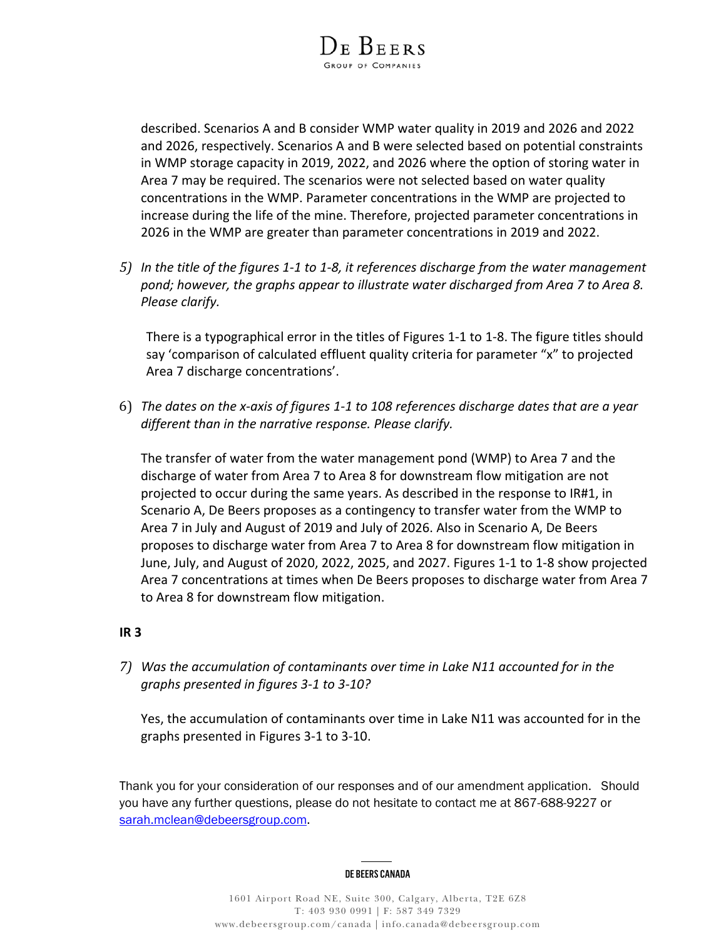

described. Scenarios A and B consider WMP water quality in 2019 and 2026 and 2022 and 2026, respectively. Scenarios A and B were selected based on potential constraints in WMP storage capacity in 2019, 2022, and 2026 where the option of storing water in Area 7 may be required. The scenarios were not selected based on water quality concentrations in the WMP. Parameter concentrations in the WMP are projected to increase during the life of the mine. Therefore, projected parameter concentrations in 2026 in the WMP are greater than parameter concentrations in 2019 and 2022.

*5) In the title of the figures 1‐1 to 1‐8, it references discharge from the water management pond; however, the graphs appear to illustrate water discharged from Area 7 to Area 8. Please clarify.* 

There is a typographical error in the titles of Figures 1‐1 to 1‐8. The figure titles should say 'comparison of calculated effluent quality criteria for parameter "x" to projected Area 7 discharge concentrations'.

6) *The dates on the x‐axis of figures 1‐1 to 108 references discharge dates that are a year different than in the narrative response. Please clarify.*

The transfer of water from the water management pond (WMP) to Area 7 and the discharge of water from Area 7 to Area 8 for downstream flow mitigation are not projected to occur during the same years. As described in the response to IR#1, in Scenario A, De Beers proposes as a contingency to transfer water from the WMP to Area 7 in July and August of 2019 and July of 2026. Also in Scenario A, De Beers proposes to discharge water from Area 7 to Area 8 for downstream flow mitigation in June, July, and August of 2020, 2022, 2025, and 2027. Figures 1‐1 to 1‐8 show projected Area 7 concentrations at times when De Beers proposes to discharge water from Area 7 to Area 8 for downstream flow mitigation.

## **IR 3**

*7) Was the accumulation of contaminants over time in Lake N11 accounted for in the graphs presented in figures 3‐1 to 3‐10?* 

Yes, the accumulation of contaminants over time in Lake N11 was accounted for in the graphs presented in Figures 3‐1 to 3‐10.

Thank you for your consideration of our responses and of our amendment application. Should you have any further questions, please do not hesitate to contact me at 867-688-9227 or sarah.mclean@debeersgroup.com.